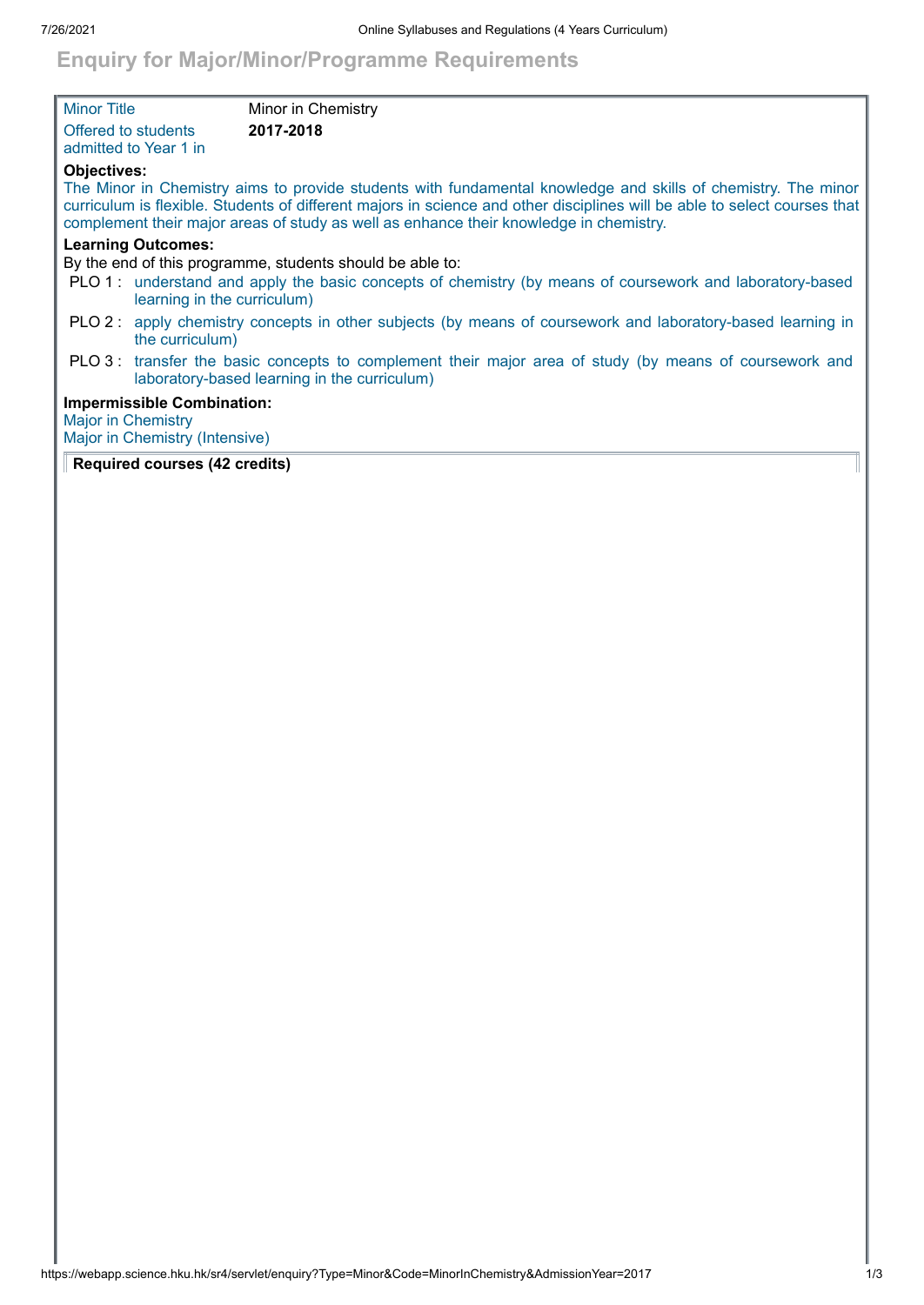## **Enquiry for Major/Minor/Programme Requirements**

| <b>Minor Title</b>                                                                     |                                                                     | Minor in Chemistry                                                                                                                                                                                                                                                                                                                   |  |
|----------------------------------------------------------------------------------------|---------------------------------------------------------------------|--------------------------------------------------------------------------------------------------------------------------------------------------------------------------------------------------------------------------------------------------------------------------------------------------------------------------------------|--|
| Offered to students                                                                    | admitted to Year 1 in                                               | 2017-2018                                                                                                                                                                                                                                                                                                                            |  |
| <b>Objectives:</b>                                                                     |                                                                     | The Minor in Chemistry aims to provide students with fundamental knowledge and skills of chemistry. The minor<br>curriculum is flexible. Students of different majors in science and other disciplines will be able to select courses that<br>complement their major areas of study as well as enhance their knowledge in chemistry. |  |
| <b>Learning Outcomes:</b><br>By the end of this programme, students should be able to: |                                                                     |                                                                                                                                                                                                                                                                                                                                      |  |
|                                                                                        | learning in the curriculum)                                         | PLO 1: understand and apply the basic concepts of chemistry (by means of coursework and laboratory-based                                                                                                                                                                                                                             |  |
|                                                                                        | the curriculum)                                                     | PLO 2: apply chemistry concepts in other subjects (by means of coursework and laboratory-based learning in                                                                                                                                                                                                                           |  |
|                                                                                        |                                                                     | PLO 3: transfer the basic concepts to complement their major area of study (by means of coursework and<br>laboratory-based learning in the curriculum)                                                                                                                                                                               |  |
| <b>Major in Chemistry</b>                                                              | <b>Impermissible Combination:</b><br>Major in Chemistry (Intensive) |                                                                                                                                                                                                                                                                                                                                      |  |

## **Required courses (42 credits)**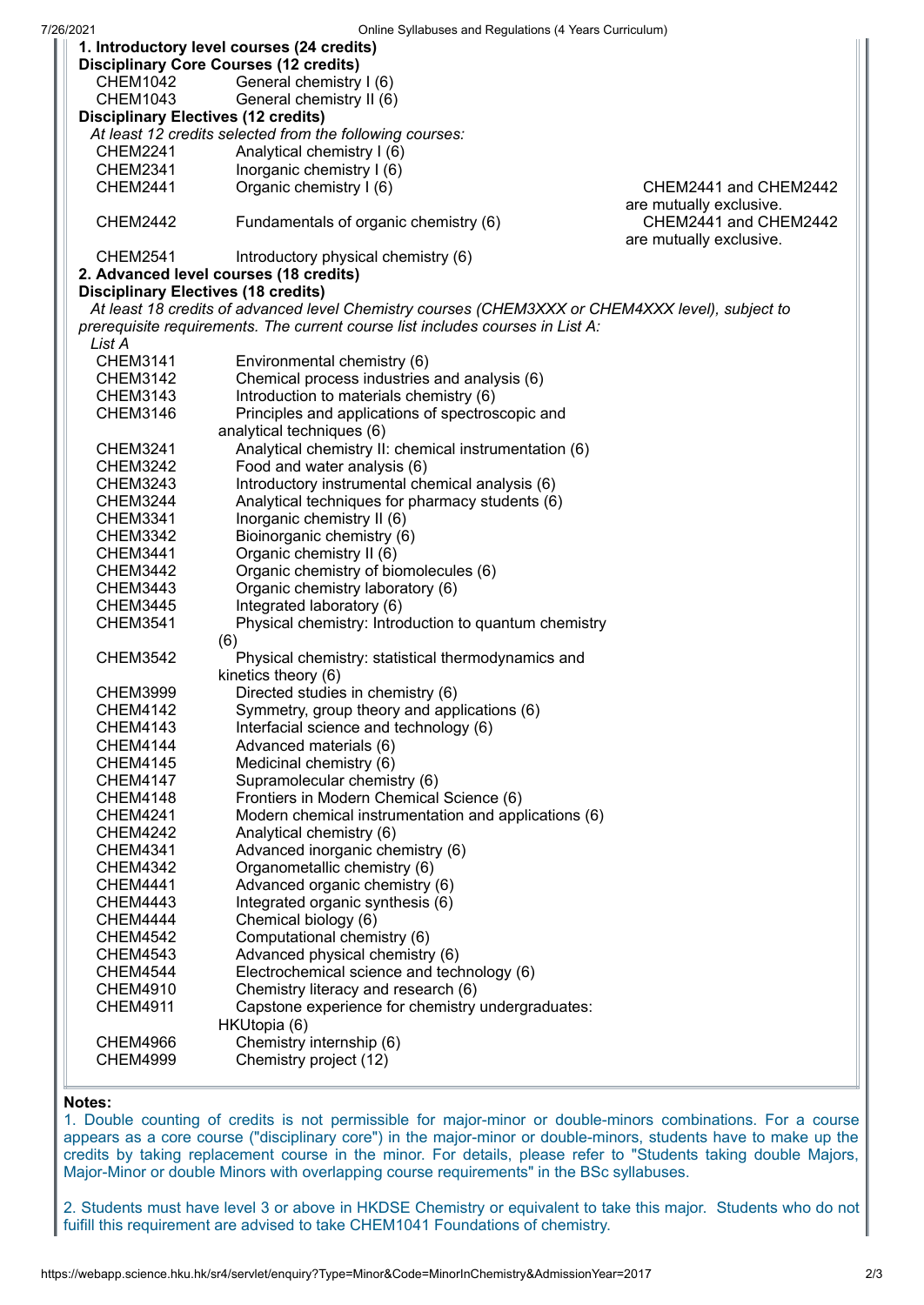| UTIME OVIDUSES and Regulations (4 Tears Curriculum)<br>1. Introductory level courses (24 credits) |                                                                          |                         |  |  |  |
|---------------------------------------------------------------------------------------------------|--------------------------------------------------------------------------|-------------------------|--|--|--|
| <b>Disciplinary Core Courses (12 credits)</b>                                                     |                                                                          |                         |  |  |  |
| <b>CHEM1042</b>                                                                                   | General chemistry I (6)                                                  |                         |  |  |  |
| <b>CHEM1043</b>                                                                                   | General chemistry II (6)                                                 |                         |  |  |  |
| <b>Disciplinary Electives (12 credits)</b>                                                        |                                                                          |                         |  |  |  |
|                                                                                                   | At least 12 credits selected from the following courses:                 |                         |  |  |  |
| <b>CHEM2241</b>                                                                                   | Analytical chemistry I (6)                                               |                         |  |  |  |
| <b>CHEM2341</b>                                                                                   | Inorganic chemistry I (6)                                                |                         |  |  |  |
| <b>CHEM2441</b>                                                                                   | Organic chemistry I (6)                                                  | CHEM2441 and CHEM2442   |  |  |  |
|                                                                                                   |                                                                          | are mutually exclusive. |  |  |  |
| <b>CHEM2442</b>                                                                                   | Fundamentals of organic chemistry (6)                                    | CHEM2441 and CHEM2442   |  |  |  |
|                                                                                                   |                                                                          | are mutually exclusive. |  |  |  |
| <b>CHEM2541</b>                                                                                   | Introductory physical chemistry (6)                                      |                         |  |  |  |
|                                                                                                   | 2. Advanced level courses (18 credits)                                   |                         |  |  |  |
| <b>Disciplinary Electives (18 credits)</b>                                                        |                                                                          |                         |  |  |  |
| At least 18 credits of advanced level Chemistry courses (CHEM3XXX or CHEM4XXX level), subject to  |                                                                          |                         |  |  |  |
| prerequisite requirements. The current course list includes courses in List A:                    |                                                                          |                         |  |  |  |
| List A<br><b>CHEM3141</b>                                                                         | Environmental chemistry (6)                                              |                         |  |  |  |
| <b>CHEM3142</b>                                                                                   | Chemical process industries and analysis (6)                             |                         |  |  |  |
| <b>CHEM3143</b>                                                                                   | Introduction to materials chemistry (6)                                  |                         |  |  |  |
| <b>CHEM3146</b>                                                                                   | Principles and applications of spectroscopic and                         |                         |  |  |  |
|                                                                                                   | analytical techniques (6)                                                |                         |  |  |  |
| <b>CHEM3241</b>                                                                                   | Analytical chemistry II: chemical instrumentation (6)                    |                         |  |  |  |
| <b>CHEM3242</b>                                                                                   | Food and water analysis (6)                                              |                         |  |  |  |
| <b>CHEM3243</b>                                                                                   | Introductory instrumental chemical analysis (6)                          |                         |  |  |  |
| <b>CHEM3244</b>                                                                                   | Analytical techniques for pharmacy students (6)                          |                         |  |  |  |
| CHEM3341                                                                                          | Inorganic chemistry II (6)                                               |                         |  |  |  |
| CHEM3342                                                                                          | Bioinorganic chemistry (6)                                               |                         |  |  |  |
| <b>CHEM3441</b>                                                                                   | Organic chemistry II (6)                                                 |                         |  |  |  |
| <b>CHEM3442</b>                                                                                   | Organic chemistry of biomolecules (6)                                    |                         |  |  |  |
| <b>CHEM3443</b>                                                                                   | Organic chemistry laboratory (6)                                         |                         |  |  |  |
| <b>CHEM3445</b>                                                                                   | Integrated laboratory (6)                                                |                         |  |  |  |
| <b>CHEM3541</b>                                                                                   | Physical chemistry: Introduction to quantum chemistry                    |                         |  |  |  |
|                                                                                                   | (6)                                                                      |                         |  |  |  |
| <b>CHEM3542</b>                                                                                   | Physical chemistry: statistical thermodynamics and                       |                         |  |  |  |
|                                                                                                   | kinetics theory (6)                                                      |                         |  |  |  |
| <b>CHEM3999</b>                                                                                   | Directed studies in chemistry (6)                                        |                         |  |  |  |
| <b>CHEM4142</b>                                                                                   | Symmetry, group theory and applications (6)                              |                         |  |  |  |
| <b>CHEM4143</b>                                                                                   | Interfacial science and technology (6)                                   |                         |  |  |  |
| <b>CHEM4144</b>                                                                                   | Advanced materials (6)                                                   |                         |  |  |  |
| <b>CHEM4145</b>                                                                                   | Medicinal chemistry (6)                                                  |                         |  |  |  |
| <b>CHEM4147</b><br><b>CHEM4148</b>                                                                | Supramolecular chemistry (6)<br>Frontiers in Modern Chemical Science (6) |                         |  |  |  |
| <b>CHEM4241</b>                                                                                   | Modern chemical instrumentation and applications (6)                     |                         |  |  |  |
| <b>CHEM4242</b>                                                                                   | Analytical chemistry (6)                                                 |                         |  |  |  |
| <b>CHEM4341</b>                                                                                   | Advanced inorganic chemistry (6)                                         |                         |  |  |  |
| <b>CHEM4342</b>                                                                                   | Organometallic chemistry (6)                                             |                         |  |  |  |
| <b>CHEM4441</b>                                                                                   | Advanced organic chemistry (6)                                           |                         |  |  |  |
| <b>CHEM4443</b>                                                                                   | Integrated organic synthesis (6)                                         |                         |  |  |  |
| <b>CHEM4444</b>                                                                                   | Chemical biology (6)                                                     |                         |  |  |  |
| <b>CHEM4542</b>                                                                                   | Computational chemistry (6)                                              |                         |  |  |  |
| <b>CHEM4543</b>                                                                                   | Advanced physical chemistry (6)                                          |                         |  |  |  |
| <b>CHEM4544</b>                                                                                   | Electrochemical science and technology (6)                               |                         |  |  |  |
| <b>CHEM4910</b>                                                                                   | Chemistry literacy and research (6)                                      |                         |  |  |  |
| <b>CHEM4911</b>                                                                                   | Capstone experience for chemistry undergraduates:                        |                         |  |  |  |
|                                                                                                   | HKUtopia (6)                                                             |                         |  |  |  |
| <b>CHEM4966</b>                                                                                   | Chemistry internship (6)                                                 |                         |  |  |  |
| <b>CHEM4999</b>                                                                                   | Chemistry project (12)                                                   |                         |  |  |  |
|                                                                                                   |                                                                          |                         |  |  |  |

## **Notes:**

1. Double counting of credits is not permissible for major-minor or double-minors combinations. For a course appears as a core course ("disciplinary core") in the major-minor or double-minors, students have to make up the credits by taking replacement course in the minor. For details, please refer to "Students taking double Majors, Major-Minor or double Minors with overlapping course requirements" in the BSc syllabuses.

2. Students must have level 3 or above in HKDSE Chemistry or equivalent to take this major. Students who do not fuifill this requirement are advised to take CHEM1041 Foundations of chemistry.